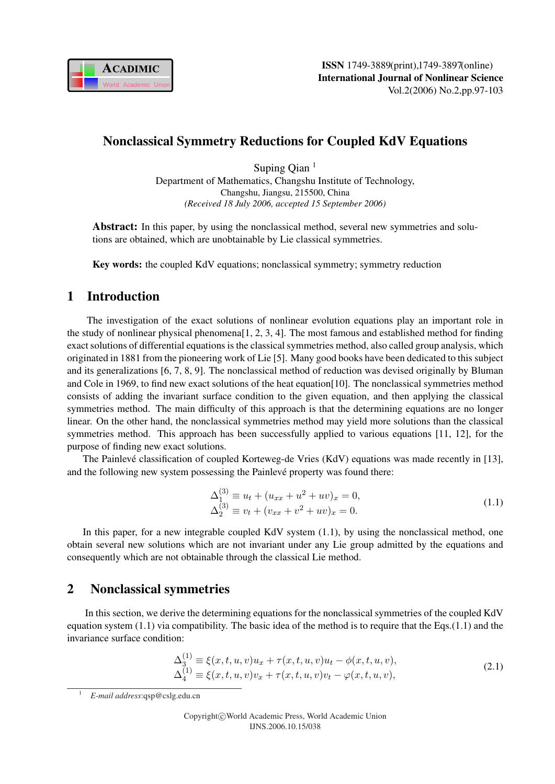

## Nonclassical Symmetry Reductions for Coupled KdV Equations

Suping Oian<sup>1</sup> Department of Mathematics, Changshu Institute of Technology, Changshu, Jiangsu, 215500, China *(Received 18 July 2006, accepted 15 September 2006)*

Abstract: In this paper, by using the nonclassical method, several new symmetries and solutions are obtained, which are unobtainable by Lie classical symmetries.

Key words: the coupled KdV equations; nonclassical symmetry; symmetry reduction

### 1 Introduction

The investigation of the exact solutions of nonlinear evolution equations play an important role in the study of nonlinear physical phenomena[1, 2, 3, 4]. The most famous and established method for finding exact solutions of differential equations is the classical symmetries method, also called group analysis, which originated in 1881 from the pioneering work of Lie [5]. Many good books have been dedicated to this subject and its generalizations [6, 7, 8, 9]. The nonclassical method of reduction was devised originally by Bluman and Cole in 1969, to find new exact solutions of the heat equation[10]. The nonclassical symmetries method consists of adding the invariant surface condition to the given equation, and then applying the classical symmetries method. The main difficulty of this approach is that the determining equations are no longer linear. On the other hand, the nonclassical symmetries method may yield more solutions than the classical symmetries method. This approach has been successfully applied to various equations [11, 12], for the purpose of finding new exact solutions.

The Painlevé classification of coupled Korteweg-de Vries (KdV) equations was made recently in [13], and the following new system possessing the Painlevé property was found there:

$$
\Delta_1^{(3)} \equiv u_t + (u_{xx} + u^2 + uv)_x = 0,\n\Delta_2^{(3)} \equiv v_t + (v_{xx} + v^2 + uv)_x = 0.
$$
\n(1.1)

In this paper, for a new integrable coupled KdV system (1.1), by using the nonclassical method, one obtain several new solutions which are not invariant under any Lie group admitted by the equations and consequently which are not obtainable through the classical Lie method.

# 2 Nonclassical symmetries

In this section, we derive the determining equations for the nonclassical symmetries of the coupled KdV equation system (1.1) via compatibility. The basic idea of the method is to require that the Eqs.(1.1) and the invariance surface condition:

$$
\Delta_3^{(1)} \equiv \xi(x, t, u, v)u_x + \tau(x, t, u, v)u_t - \phi(x, t, u, v), \n\Delta_4^{(1)} \equiv \xi(x, t, u, v)v_x + \tau(x, t, u, v)v_t - \varphi(x, t, u, v),
$$
\n(2.1)

<sup>1</sup> *E-mail address*:qsp@cslg.edu.cn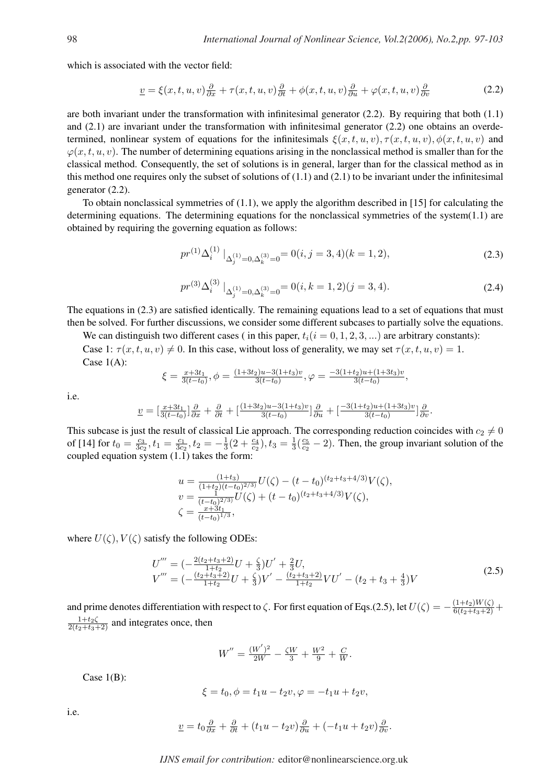which is associated with the vector field:

$$
\underline{v} = \xi(x, t, u, v)\frac{\partial}{\partial x} + \tau(x, t, u, v)\frac{\partial}{\partial t} + \phi(x, t, u, v)\frac{\partial}{\partial u} + \varphi(x, t, u, v)\frac{\partial}{\partial v}
$$
(2.2)

are both invariant under the transformation with infinitesimal generator  $(2.2)$ . By requiring that both  $(1.1)$ and (2.1) are invariant under the transformation with infinitesimal generator (2.2) one obtains an overdetermined, nonlinear system of equations for the infinitesimals  $\xi(x, t, u, v)$ ,  $\tau(x, t, u, v)$ ,  $\phi(x, t, u, v)$  and  $\varphi(x, t, u, v)$ . The number of determining equations arising in the nonclassical method is smaller than for the classical method. Consequently, the set of solutions is in general, larger than for the classical method as in this method one requires only the subset of solutions of  $(1.1)$  and  $(2.1)$  to be invariant under the infinitesimal generator (2.2).

To obtain nonclassical symmetries of (1.1), we apply the algorithm described in [15] for calculating the determining equations. The determining equations for the nonclassical symmetries of the system $(1.1)$  are obtained by requiring the governing equation as follows:

$$
pr^{(1)}\Delta_i^{(1)}\Big|_{\Delta_j^{(1)}=0,\Delta_k^{(3)}=0} = 0(i,j=3,4)(k=1,2),\tag{2.3}
$$

$$
pr^{(3)}\Delta_i^{(3)}\left.\right|_{\Delta_j^{(1)}=0,\Delta_k^{(3)}=0}=0(i,k=1,2)(j=3,4). \tag{2.4}
$$

The equations in (2.3) are satisfied identically. The remaining equations lead to a set of equations that must then be solved. For further discussions, we consider some different subcases to partially solve the equations.

We can distinguish two different cases (in this paper,  $t_i(i = 0, 1, 2, 3, ...)$  are arbitrary constants): Case 1:  $\tau(x, t, u, v) \neq 0$ . In this case, without loss of generality, we may set  $\tau(x, t, u, v) = 1$ . Case 1(A):

$$
\xi = \frac{x+3t_1}{3(t-t_0)}, \phi = \frac{(1+3t_2)u-3(1+t_3)v}{3(t-t_0)}, \varphi = \frac{-3(1+t_2)u+(1+3t_3)v}{3(t-t_0)},
$$

i.e.

$$
\underline{v} = \left[\frac{x+3t_1}{3(t-t_0)}\right]\frac{\partial}{\partial x} + \frac{\partial}{\partial t} + \left[\frac{(1+3t_2)u - 3(1+t_3)v}{3(t-t_0)}\right]\frac{\partial}{\partial u} + \left[\frac{-3(1+t_2)u + (1+3t_3)v}{3(t-t_0)}\right]\frac{\partial}{\partial v}.
$$

This subcase is just the result of classical Lie approach. The corresponding reduction coincides with  $c_2 \neq 0$ of [14] for  $t_0 = \frac{c_3}{3c_3}$  $\frac{c_3}{3c_2}$ ,  $t_1 = \frac{c_1}{3c_2}$  $\frac{c_1}{3c_2}$ ,  $t_2 = -\frac{1}{3}$  $\frac{1}{3}(2+\frac{c_4}{c_2}), t_3=\frac{1}{3}$  $rac{1}{3}(\frac{c_5}{c_2}$  $\frac{c_5}{c_2}$  – 2). Then, the group invariant solution of the coupled equation system  $(1.\overline{1})$  takes the form:

$$
u = \frac{(1+t_3)}{(1+t_2)(t-t_0)^{2/3})} U(\zeta) - (t-t_0)^{(t_2+t_3+4/3)} V(\zeta),
$$
  
\n
$$
v = \frac{1}{(t-t_0)^{2/3}} U(\zeta) + (t-t_0)^{(t_2+t_3+4/3)} V(\zeta),
$$
  
\n
$$
\zeta = \frac{x+3t_1}{(t-t_0)^{1/3}},
$$

where  $U(\zeta)$ ,  $V(\zeta)$  satisfy the following ODEs:

$$
U''' = \left(-\frac{2(t_2 + t_3 + 2)}{1 + t_2}U + \frac{\zeta}{3}\right)U' + \frac{2}{3}U,
$$
  
\n
$$
V''' = \left(-\frac{(t_2 + t_3 + 2)}{1 + t_2}U + \frac{\zeta}{3}\right)V' - \frac{(t_2 + t_3 + 2)}{1 + t_2}VU' - (t_2 + t_3 + \frac{4}{3})V
$$
\n(2.5)

and prime denotes differentiation with respect to  $\zeta$ . For first equation of Eqs.(2.5), let  $U(\zeta) = -\frac{(1+t_2)W(\zeta)}{6(t_2+t_3+2)} +$  $\frac{1+t_2\zeta}{2(t_2+t_3+2)}$  and integrates once, then

$$
W'' = \frac{(W')^2}{2W} - \frac{\zeta W}{3} + \frac{W^2}{9} + \frac{C}{W}.
$$

Case  $1(B)$ :

$$
\xi = t_0, \phi = t_1 u - t_2 v, \varphi = -t_1 u + t_2 v,
$$

i.e.

$$
\underline{v} = t_0 \frac{\partial}{\partial x} + \frac{\partial}{\partial t} + (t_1 u - t_2 v) \frac{\partial}{\partial u} + (-t_1 u + t_2 v) \frac{\partial}{\partial v}.
$$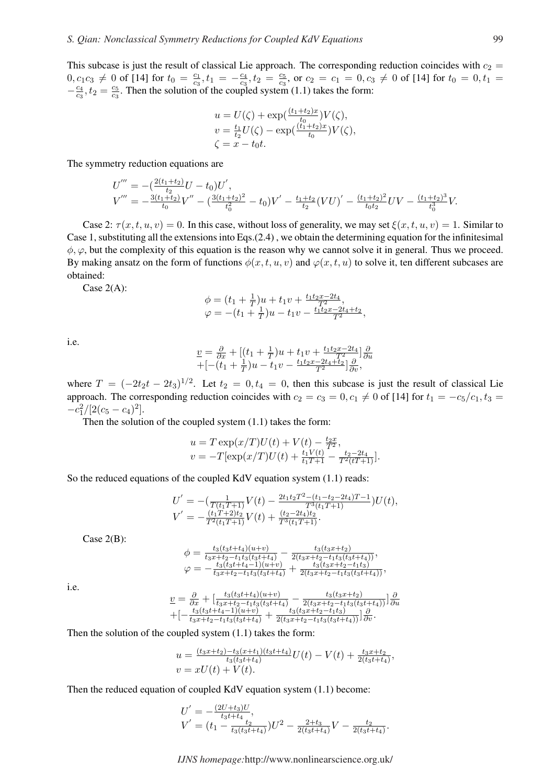This subcase is just the result of classical Lie approach. The corresponding reduction coincides with  $c_2$  =  $0, c_1c_3 \neq 0$  of [14] for  $t_0 = \frac{c_1}{c_2}$  $\frac{c_1}{c_3}, t_1 = -\frac{c_4}{c_3}$  $\frac{c_4}{c_3}, t_2 = \frac{c_5}{c_3}$  $\frac{c_5}{c_3}$ , or  $c_2 = c_1 = 0, c_3 \neq 0$  of [14] for  $t_0 = 0, t_1 =$  $-\frac{c_4}{c_2}$  $\frac{c_4}{c_3}, t_2 = \frac{c_5}{c_3}$  $\frac{c_5}{c_3}$ . Then the solution of the coupled system (1.1) takes the form:

$$
u = U(\zeta) + \exp(\frac{(t_1 + t_2)x}{t_0})V(\zeta),
$$
  
\n
$$
v = \frac{t_1}{t_2}U(\zeta) - \exp(\frac{(t_1 + t_2)x}{t_0})V(\zeta),
$$
  
\n
$$
\zeta = x - t_0t.
$$

The symmetry reduction equations are

$$
U''' = -(\frac{2(t_1+t_2)}{t_2}U - t_0)U',
$$
  
\n
$$
V''' = -\frac{3(t_1+t_2)}{t_0}V'' - (\frac{3(t_1+t_2)^2}{t_0^2} - t_0)V' - \frac{t_1+t_2}{t_2}(VU)' - \frac{(t_1+t_2)^2}{t_0t_2}UV - \frac{(t_1+t_2)^3}{t_0^3}V.
$$

Case 2:  $\tau(x, t, u, v) = 0$ . In this case, without loss of generality, we may set  $\xi(x, t, u, v) = 1$ . Similar to Case 1, substituting all the extensions into Eqs.(2.4) , we obtain the determining equation for the infinitesimal  $\phi$ ,  $\varphi$ , but the complexity of this equation is the reason why we cannot solve it in general. Thus we proceed. By making ansatz on the form of functions  $\phi(x, t, u, v)$  and  $\phi(x, t, u)$  to solve it, ten different subcases are obtained:

Case 2(A):

$$
\begin{array}{l}\n\phi = (t_1 + \frac{1}{T})u + t_1v + \frac{t_1t_2x - 2t_4}{T^2},\\
\varphi = -(t_1 + \frac{1}{T})u - t_1v - \frac{t_1t_2x - 2t_4 + t_2}{T^2},\n\end{array}
$$

i.e.

$$
\underline{v} = \frac{\partial}{\partial x} + \left[ (t_1 + \frac{1}{T})u + t_1v + \frac{t_1t_2x - 2t_4}{T^2} \right] \frac{\partial}{\partial u}
$$
  
+ 
$$
\left[ -(t_1 + \frac{1}{T})u - t_1v - \frac{t_1t_2x - 2t_4 + t_2}{T^2} \right] \frac{\partial}{\partial v},
$$

where  $T = (-2t_2t - 2t_3)^{1/2}$ . Let  $t_2 = 0, t_4 = 0$ , then this subcase is just the result of classical Lie approach. The corresponding reduction coincides with  $c_2 = c_3 = 0, c_1 \neq 0$  of [14] for  $t_1 = -c_5/c_1, t_3 =$  $-c_1^2/[2(c_5-c_4)^2].$ 

Then the solution of the coupled system (1.1) takes the form:

$$
u = T \exp(x/T)U(t) + V(t) - \frac{t_2x}{T^2},
$$
  

$$
v = -T[\exp(x/T)U(t) + \frac{t_1V(t)}{t_1T+1} - \frac{t_2 - 2t_4}{T^2(tT+1)}].
$$

So the reduced equations of the coupled KdV equation system (1.1) reads:

$$
U' = -\left(\frac{1}{T(t_1T+1)}V(t) - \frac{2t_1t_2T^2 - (t_1-t_2-2t_4)T-1}{T^3(t_1T+1)}\right)U(t),
$$
  

$$
V' = -\frac{(t_1T+2)t_2}{T^2(t_1T+1)}V(t) + \frac{(t_2-2t_4)t_2}{T^3(t_1T+1)}.
$$

Case 2(B):

$$
\begin{array}{l}\n\phi = \frac{t_3(t_3t+t_4)(u+v)}{t_3x+t_2-t_1t_3(t_3t+t_4)} - \frac{t_3(t_3x+t_2)}{2(t_3x+t_2-t_1t_3(t_3t+t_4))},\\
\varphi = -\frac{t_3(t_3t+t_4-1)(u+v)}{t_3x+t_2-t_1t_3(t_3t+t_4)} + \frac{t_3(t_3x+t_2-t_1t_3)}{2(t_3x+t_2-t_1t_3(t_3t+t_4))},\n\end{array}
$$

i.e.

$$
\underline{v} = \frac{\partial}{\partial x} + \left[ \frac{t_3(t_3t+t_4)(u+v)}{t_3x+t_2-t_1t_3(t_3t+t_4)} - \frac{t_3(t_3x+t_2)}{2(t_3x+t_2-t_1t_3(t_3t+t_4))} \right] \frac{\partial}{\partial u} + \left[ -\frac{t_3(t_3t+t_4-1)(u+v)}{t_3x+t_2-t_1t_3(t_3t+t_4)} + \frac{t_3(t_3x+t_2-t_1t_3)}{2(t_3x+t_2-t_1t_3(t_3t+t_4))} \right] \frac{\partial}{\partial v}.
$$

Then the solution of the coupled system (1.1) takes the form:

$$
u = \frac{(t_3x+t_2)-t_3(x+t_1)(t_3t+t_4)}{t_3(t_3t+t_4)}U(t) - V(t) + \frac{t_3x+t_2}{2(t_3t+t_4)},
$$
  

$$
v = xU(t) + V(t).
$$

Then the reduced equation of coupled KdV equation system (1.1) become:

$$
U' = -\frac{(2U+t_3)U}{t_3t+t_4},
$$
  
\n
$$
V' = (t_1 - \frac{t_2}{t_3(t_3t+t_4)})U^2 - \frac{2+t_3}{2(t_3t+t_4)}V - \frac{t_2}{2(t_3t+t_4)}.
$$

*IJNS homepage:*http://www.nonlinearscience.org.uk/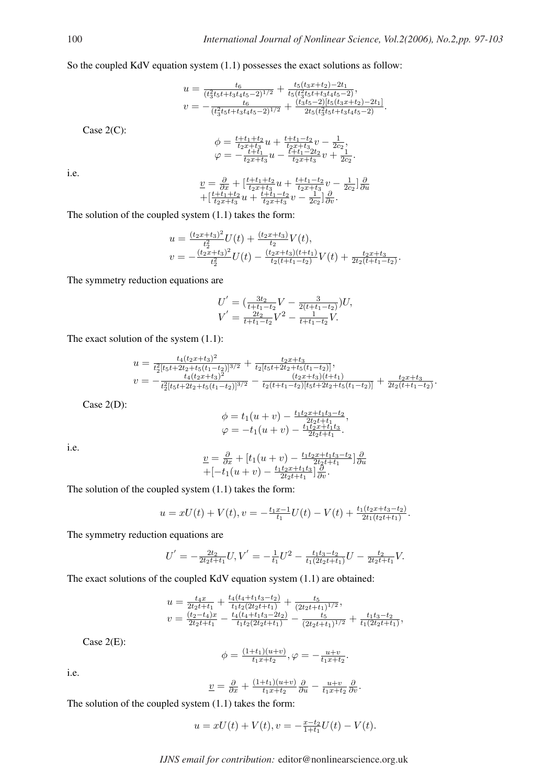.

So the coupled KdV equation system (1.1) possesses the exact solutions as follow:

$$
u = \frac{t_6}{(t_3^2 t_5 t + t_3 t_4 t_5 - 2)^{1/2}} + \frac{t_5 (t_3 x + t_2) - 2t_1}{t_5 (t_3^2 t_5 t + t_3 t_4 t_5 - 2)},
$$
  

$$
v = -\frac{t_6}{(t_3^2 t_5 t + t_3 t_4 t_5 - 2)^{1/2}} + \frac{(t_3 t_5 - 2)[t_5 (t_3 x + t_2) - 2t_1]}{2t_5 (t_3^2 t_5 t + t_3 t_4 t_5 - 2)}.
$$

Case 2(C):

$$
\begin{array}{l}\n\phi = \frac{t+t_1+t_2}{t_2+t_3}u + \frac{t+t_1-t_2}{t_2+t_3}v - \frac{1}{2c_2},\\
\varphi = -\frac{t+t_1}{t_2x+t_3}u - \frac{t+t_1-2t_2}{t_2x+t_3}v + \frac{1}{2c_2}.\n\end{array}
$$

i.e.

$$
\underline{v} = \frac{\partial}{\partial x} + \left[ \frac{t + t_1 + t_2}{t_2 x + t_3} u + \frac{t + t_1 - t_2}{t_2 x + t_3} v - \frac{1}{2c_2} \right] \frac{\partial}{\partial u} \n+ \left[ \frac{t + t_1 + t_2}{t_2 x + t_3} u + \frac{t + t_1 - t_2}{t_2 x + t_3} v - \frac{1}{2c_2} \right] \frac{\partial}{\partial v}.
$$

The solution of the coupled system (1.1) takes the form:

$$
u = \frac{(t_2x+t_3)^2}{t_2^2}U(t) + \frac{(t_2x+t_3)}{t_2}V(t),
$$
  

$$
v = -\frac{(t_2x+t_3)^2}{t_2^2}U(t) - \frac{(t_2x+t_3)(t+t_1)}{t_2(t+t_1-t_2)}V(t) + \frac{t_2x+t_3}{2t_2(t+t_1-t_2)}.
$$

The symmetry reduction equations are

$$
U' = \left(\frac{3t_2}{t+t_1-t_2}V - \frac{3}{2(t+t_1-t_2)}\right)U,
$$
  

$$
V' = \frac{2t_2}{t+t_1-t_2}V^2 - \frac{1}{t+t_1-t_2}V.
$$

The exact solution of the system (1.1):

$$
u = \frac{t_4(t_2x+t_3)^2}{t_2^2[t_5t+2t_2+t_5(t_1-t_2)]^{3/2}} + \frac{t_2x+t_3}{t_2[t_5t+2t_2+t_5(t_1-t_2)]},
$$
  

$$
v = -\frac{t_4(t_2x+t_3)^2}{t_2^2[t_5t+2t_2+t_5(t_1-t_2)]^{3/2}} - \frac{(t_2x+t_3)(t+t_1)}{t_2(t+t_1-t_2)[t_5t+2t_2+t_5(t_1-t_2)]} + \frac{t_2x+t_3}{2t_2(t+t_1-t_2)}
$$

Case 2(D):

$$
\begin{array}{l}\n\phi = t_1(u+v) - \frac{t_1t_2x+t_1t_3-t_2}{2t_2t+t_1}, \\
\varphi = -t_1(u+v) - \frac{t_1t_2x+t_1t_3}{2t_2t+t_1}.\n\end{array}
$$

i.e.

$$
\underline{v} = \frac{\partial}{\partial x} + \left[t_1(u+v) - \frac{t_1t_2x+t_1t_3-t_2}{2t_2t+t_1}\right]\frac{\partial}{\partial u}
$$

$$
+ \left[-t_1(u+v) - \frac{t_1t_2x+t_1t_3}{2t_2t+t_1}\right]\frac{\partial}{\partial v}.
$$

The solution of the coupled system (1.1) takes the form:

$$
u = xU(t) + V(t), v = -\frac{t_1x - 1}{t_1}U(t) - V(t) + \frac{t_1(t_2x + t_3 - t_2)}{2t_1(t_2t + t_1)}.
$$

The symmetry reduction equations are

$$
U' = -\frac{2t_2}{2t_2t + t_1}U, V' = -\frac{1}{t_1}U^2 - \frac{t_1t_3 - t_2}{t_1(2t_2t + t_1)}U - \frac{t_2}{2t_2t + t_1}V.
$$

The exact solutions of the coupled KdV equation system (1.1) are obtained:

$$
u = \frac{t_4x}{2t_2t+t_1} + \frac{t_4(t_4+t_1t_3-t_2)}{t_1t_2(2t_2t+t_1)} + \frac{t_5}{(2t_2t+t_1)^{1/2}},
$$
  
\n
$$
v = \frac{(t_2-t_4)x}{2t_2t+t_1} - \frac{t_4(t_4+t_1t_3-2t_2)}{t_1t_2(2t_2t+t_1)} - \frac{t_5}{(2t_2t+t_1)^{1/2}} + \frac{t_1t_3-t_2}{t_1(2t_2t+t_1)},
$$

Case 2(E):

$$
\phi = \frac{(1+t_1)(u+v)}{t_1x+t_2}, \varphi = -\frac{u+v}{t_1x+t_2}.
$$

i.e.

$$
\underline{v} = \frac{\partial}{\partial x} + \frac{(1+t_1)(u+v)}{t_1x+t_2} \frac{\partial}{\partial u} - \frac{u+v}{t_1x+t_2} \frac{\partial}{\partial v}.
$$

The solution of the coupled system (1.1) takes the form:

$$
u = xU(t) + V(t), v = -\frac{x - t_2}{1 + t_1}U(t) - V(t).
$$

*IJNS email for contribution:* editor@nonlinearscience.org.uk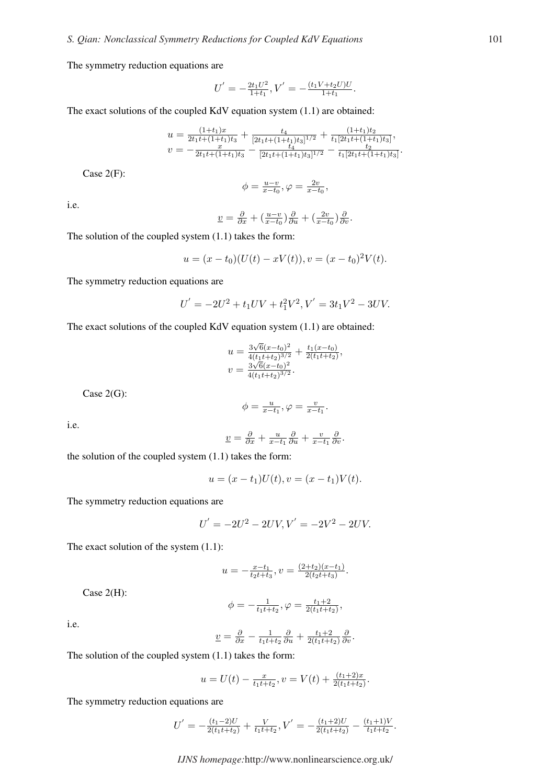The symmetry reduction equations are

$$
U' = -\frac{2t_1U^2}{1+t_1}, V' = -\frac{(t_1V + t_2U)U}{1+t_1}.
$$

The exact solutions of the coupled KdV equation system (1.1) are obtained:

$$
u = \frac{(1+t_1)x}{2t_1t + (1+t_1)t_3} + \frac{t_4}{[2t_1t + (1+t_1)t_3]^{1/2}} + \frac{(1+t_1)t_2}{t_1[2t_1t + (1+t_1)t_3]},
$$
  

$$
v = -\frac{x}{2t_1t + (1+t_1)t_3} - \frac{t_4}{[2t_1t + (1+t_1)t_3]^{1/2}} - \frac{t_2}{t_1[2t_1t + (1+t_1)t_3]}.
$$

Case 2(F):

$$
\phi = \frac{u-v}{x-t_0}, \varphi = \frac{2v}{x-t_0},
$$

i.e.

$$
\underline{v} = \frac{\partial}{\partial x} + \left(\frac{u-v}{x-t_0}\right)\frac{\partial}{\partial u} + \left(\frac{2v}{x-t_0}\right)\frac{\partial}{\partial v}.
$$

The solution of the coupled system (1.1) takes the form:

$$
u = (x - t_0)(U(t) - xV(t)), v = (x - t_0)^2 V(t).
$$

The symmetry reduction equations are

$$
U' = -2U^2 + t_1UV + t_1^2V^2, V' = 3t_1V^2 - 3UV.
$$

The exact solutions of the coupled KdV equation system (1.1) are obtained:

$$
u = \frac{3\sqrt{6}(x-t_0)^2}{4(t_1t+t_2)^{3/2}} + \frac{t_1(x-t_0)}{2(t_1t+t_2)},
$$
  

$$
v = \frac{3\sqrt{6}(x-t_0)^2}{4(t_1t+t_2)^{3/2}}.
$$

Case 2(G):

$$
\phi = \frac{u}{x-t_1}, \varphi = \frac{v}{x-t_1}.
$$

i.e.

$$
\underline{v} = \frac{\partial}{\partial x} + \frac{u}{x-t_1} \frac{\partial}{\partial u} + \frac{v}{x-t_1} \frac{\partial}{\partial v}.
$$

the solution of the coupled system (1.1) takes the form:

$$
u = (x - t_1)U(t), v = (x - t_1)V(t).
$$

The symmetry reduction equations are

$$
U' = -2U^2 - 2UV, V' = -2V^2 - 2UV.
$$

The exact solution of the system (1.1):

$$
u = -\frac{x - t_1}{t_2 t + t_3}, v = \frac{(2 + t_2)(x - t_1)}{2(t_2 t + t_3)}.
$$

Case 2(H):

$$
\phi = -\frac{1}{t_1 t + t_2}, \varphi = \frac{t_1 + 2}{2(t_1 t + t_2)},
$$

i.e.

$$
\underline{v} = \frac{\partial}{\partial x} - \frac{1}{t_1 t + t_2} \frac{\partial}{\partial u} + \frac{t_1 + 2}{2(t_1 t + t_2)} \frac{\partial}{\partial v}.
$$

The solution of the coupled system (1.1) takes the form:

$$
u = U(t) - \frac{x}{t_1 t + t_2}, v = V(t) + \frac{(t_1 + 2)x}{2(t_1 t + t_2)}.
$$

The symmetry reduction equations are

$$
U^{'} = -\frac{(t_1-2)U}{2(t_1t+t_2)} + \frac{V}{t_1t+t_2}, V^{'} = -\frac{(t_1+2)U}{2(t_1t+t_2)} - \frac{(t_1+1)V}{t_1t+t_2}.
$$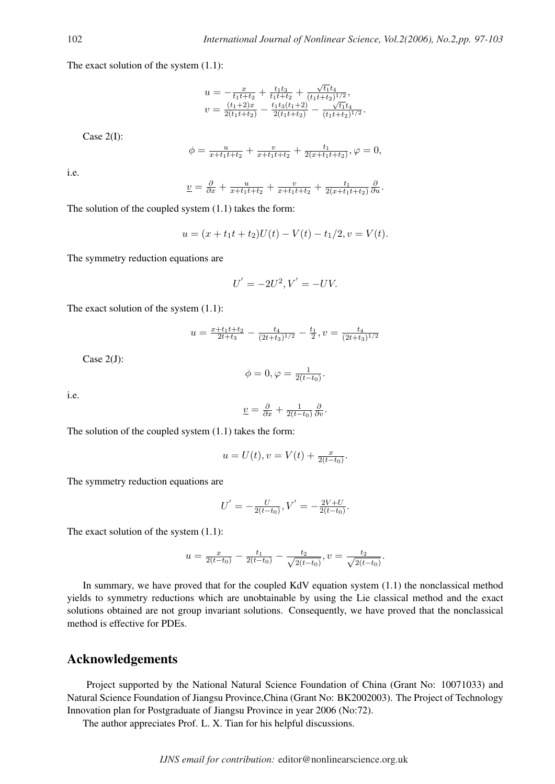The exact solution of the system (1.1):

$$
u = -\frac{x}{t_1t+t_2} + \frac{t_1t_3}{t_1t+t_2} + \frac{\sqrt{t_1}t_4}{(t_1t+t_2)^{1/2}},
$$
  

$$
v = \frac{(t_1+2)x}{2(t_1t+t_2)} - \frac{t_1t_3(t_1+2)}{2(t_1t+t_2)} - \frac{\sqrt{t_1}t_4}{(t_1t+t_2)^{1/2}}.
$$

Case 2(I):

$$
\phi = \frac{u}{x+t_1t+t_2} + \frac{v}{x+t_1t+t_2} + \frac{t_1}{2(x+t_1t+t_2)}, \varphi = 0,
$$

i.e.

$$
\underline{v} = \frac{\partial}{\partial x} + \frac{u}{x+t_1t+t_2} + \frac{v}{x+t_1t+t_2} + \frac{t_1}{2(x+t_1t+t_2)}\frac{\partial}{\partial u}.
$$

The solution of the coupled system (1.1) takes the form:

$$
u = (x + t_1t + t_2)U(t) - V(t) - t_1/2, v = V(t).
$$

The symmetry reduction equations are

$$
U' = -2U^2, V' = -UV.
$$

The exact solution of the system (1.1):

$$
u = \frac{x + t_1 t + t_2}{2t + t_3} - \frac{t_4}{(2t + t_3)^{1/2}} - \frac{t_1}{2}, v = \frac{t_4}{(2t + t_3)^{1/2}}
$$

Case 2(J):

$$
\phi=0, \varphi=\frac{1}{2(t-t_0)}.
$$

i.e.

$$
\underline{v} = \frac{\partial}{\partial x} + \frac{1}{2(t-t_0)} \frac{\partial}{\partial v}.
$$

The solution of the coupled system (1.1) takes the form:

$$
u = U(t), v = V(t) + \frac{x}{2(t - t_0)}.
$$

The symmetry reduction equations are

$$
U' = -\frac{U}{2(t-t_0)}, V' = -\frac{2V+U}{2(t-t_0)}.
$$

The exact solution of the system (1.1):

$$
u = \frac{x}{2(t-t_0)} - \frac{t_1}{2(t-t_0)} - \frac{t_2}{\sqrt{2(t-t_0)}}, v = \frac{t_2}{\sqrt{2(t-t_0)}}.
$$

In summary, we have proved that for the coupled KdV equation system (1.1) the nonclassical method yields to symmetry reductions which are unobtainable by using the Lie classical method and the exact solutions obtained are not group invariant solutions. Consequently, we have proved that the nonclassical method is effective for PDEs.

### Acknowledgements

Project supported by the National Natural Science Foundation of China (Grant No: 10071033) and Natural Science Foundation of Jiangsu Province,China (Grant No: BK2002003). The Project of Technology Innovation plan for Postgraduate of Jiangsu Province in year 2006 (No:72).

The author appreciates Prof. L. X. Tian for his helpful discussions.